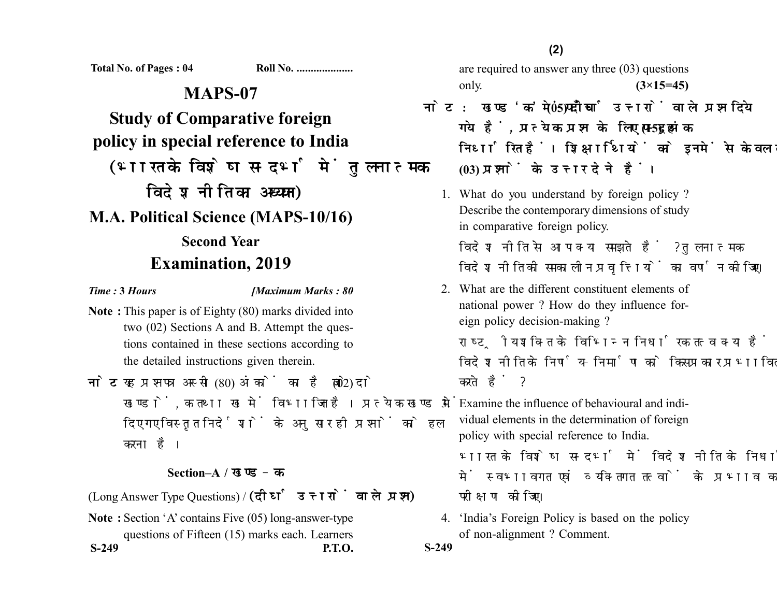**Total No. of Pages : 04 Roll No. ....................**

## **MAPS-07**

**Study of Comparative foreign policy in special reference to India** (भारत के विशेष सन्दर्भ में तुलनात्मक विदेश नीति का अध्ययन)

**M.A. Political Science (MAPS-10/16)**

## **Second Year Examination, 2019**

*Time :* **3** *Hours [Maximum Marks : 80*

- **Note :** This paper is of Eighty (80) marks divided into two (02) Sections A and B. Attempt the questions contained in these sections according to the detailed instructions given therein.
- नोट: यह प्रश्नपत्र अस्सी (80) अंकों का है जो दो (02) खण्डों, क तथा ख में विभाजित है। प्रत्येक खण्ड में दिए गए विस्तत निर्देशों के अनसार ही प्रश्नों को हल करना है।

## **Section–A /**

(Long Answer Type Questions) / (दीर्घ उत्तरों वाले प्रश्न)

**Note :** Section 'A' contains Five (05) long-answer-type questions of Fifteen (15) marks each. Learners **S-249 P.T.O. S-249**

are required to answer any three (03) questions only. **(3×15=45)**

- <u>नोट: खण्ड 'क' में पाँच (05) दीर्घ उत्तरों वाले प्रश्न दिये</u> गये हैं. प्रत्येक प्रश्न के लिए पन्दुह (15) अंक निर्धारित हैं। शिक्षार्थियों को इनमें से केवल तीन **(03)** 
	- 1. What do you understand by foreign policy ? Describe the contemporary dimensions of study in comparative foreign policy.

विदेश नीति से आप क्या समझते हैं ? तुलनात्मक विदेश नीति की समकालीन प्रवृत्तियों का वर्णन कोजिए।

2. What are the different constituent elements of national power ? How do they influence foreign policy decision-making ?

राष्टीय शक्ति के विभिन्न निर्धारक तत्व क्या हैं ? वे विदेश नीति के निर्णय-निर्माण को किस प्रकार प्रभावित करते हैं ?

3. Examine the influence of behavioural and individual elements in the determination of foreign policy with special reference to India. भारत के विशेष सन्दर्भ में विदेश नीति के निर्धारण में स्वभावगत एवं व्यक्तिगत तत्वों के प्रभाव का

परीक्षण कोजिए।

4. 'India's Foreign Policy is based on the policy of non-alignment ? Comment.